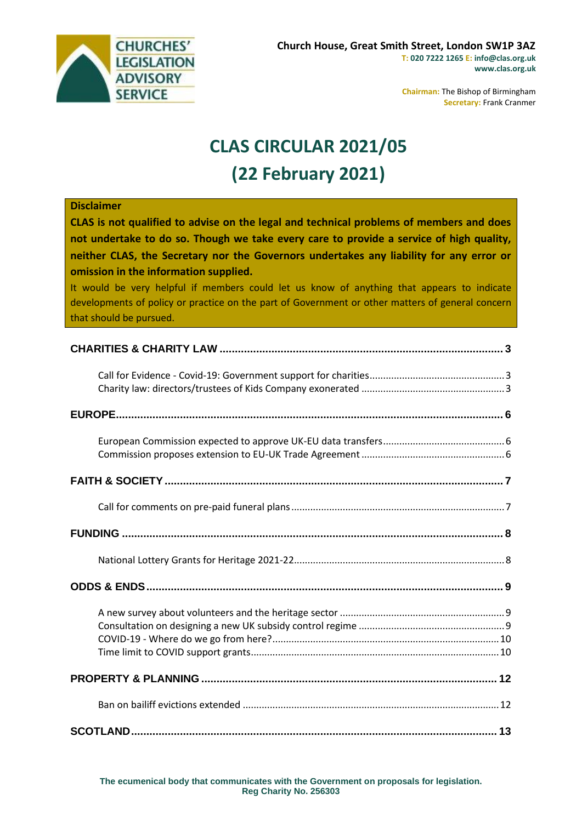

**Chairman:** The Bishop of Birmingham **Secretary:** Frank Cranmer

## **CLAS CIRCULAR 2021/05 (22 February 2021)**

| <b>Disclaimer</b><br>CLAS is not qualified to advise on the legal and technical problems of members and does<br>not undertake to do so. Though we take every care to provide a service of high quality,<br>neither CLAS, the Secretary nor the Governors undertakes any liability for any error or<br>omission in the information supplied.<br>It would be very helpful if members could let us know of anything that appears to indicate<br>developments of policy or practice on the part of Government or other matters of general concern<br>that should be pursued. |
|--------------------------------------------------------------------------------------------------------------------------------------------------------------------------------------------------------------------------------------------------------------------------------------------------------------------------------------------------------------------------------------------------------------------------------------------------------------------------------------------------------------------------------------------------------------------------|
|                                                                                                                                                                                                                                                                                                                                                                                                                                                                                                                                                                          |
|                                                                                                                                                                                                                                                                                                                                                                                                                                                                                                                                                                          |
|                                                                                                                                                                                                                                                                                                                                                                                                                                                                                                                                                                          |
|                                                                                                                                                                                                                                                                                                                                                                                                                                                                                                                                                                          |
|                                                                                                                                                                                                                                                                                                                                                                                                                                                                                                                                                                          |
|                                                                                                                                                                                                                                                                                                                                                                                                                                                                                                                                                                          |
|                                                                                                                                                                                                                                                                                                                                                                                                                                                                                                                                                                          |
|                                                                                                                                                                                                                                                                                                                                                                                                                                                                                                                                                                          |
|                                                                                                                                                                                                                                                                                                                                                                                                                                                                                                                                                                          |
|                                                                                                                                                                                                                                                                                                                                                                                                                                                                                                                                                                          |
|                                                                                                                                                                                                                                                                                                                                                                                                                                                                                                                                                                          |
|                                                                                                                                                                                                                                                                                                                                                                                                                                                                                                                                                                          |
|                                                                                                                                                                                                                                                                                                                                                                                                                                                                                                                                                                          |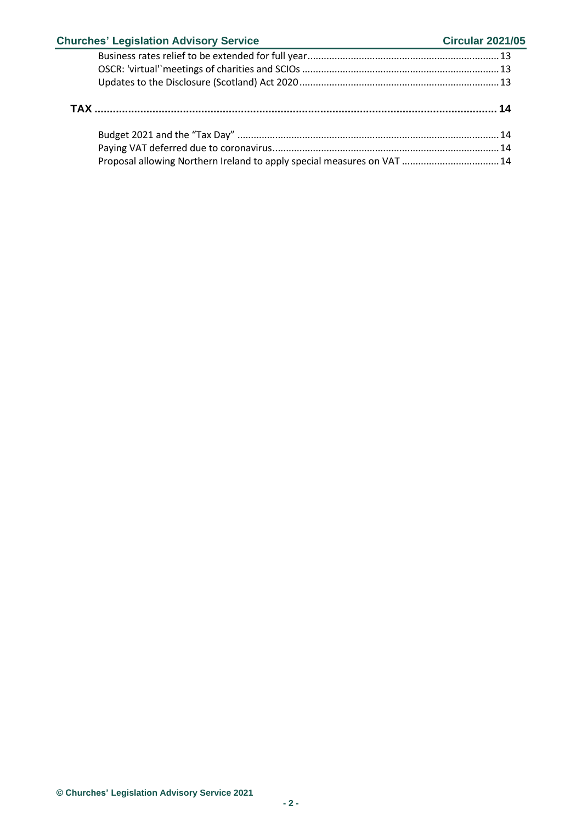| <b>Churches' Legislation Advisory Service</b>                           | <b>Circular 2021/05</b> |
|-------------------------------------------------------------------------|-------------------------|
|                                                                         |                         |
|                                                                         |                         |
|                                                                         |                         |
|                                                                         |                         |
|                                                                         |                         |
|                                                                         |                         |
| Proposal allowing Northern Ireland to apply special measures on VAT  14 |                         |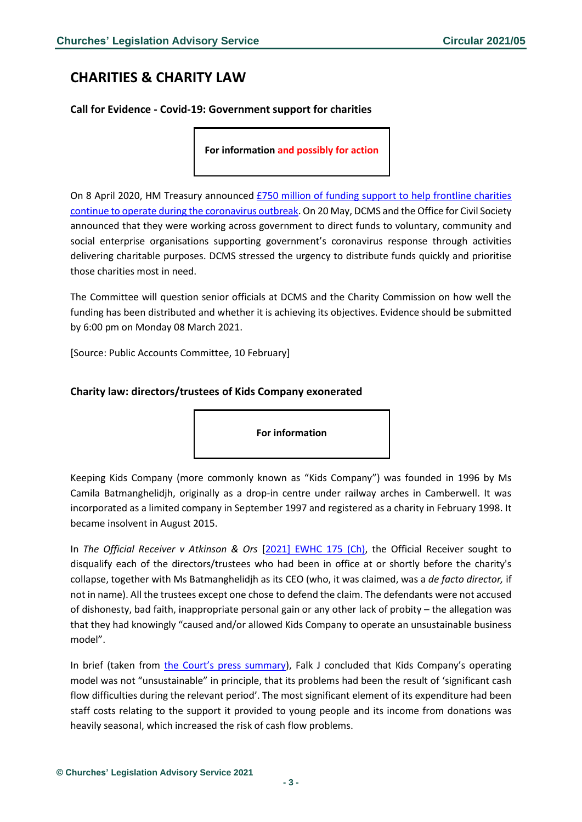## <span id="page-2-0"></span>**CHARITIES & CHARITY LAW**

#### <span id="page-2-1"></span>**Call for Evidence - Covid-19: Government support for charities**

**For information and possibly for action**

On 8 April 2020, HM Treasury announced [£750 million of funding support to help frontline charities](https://www.nao.org.uk/work-in-progress/investigation-into-government-funding-to-charities-during-the-covid-19-pandemic/)  [continue to operate during the coronavirus outbreak.](https://www.nao.org.uk/work-in-progress/investigation-into-government-funding-to-charities-during-the-covid-19-pandemic/) On 20 May, DCMS and the Office for Civil Society announced that they were working across government to direct funds to voluntary, community and social enterprise organisations supporting government's coronavirus response through activities delivering charitable purposes. DCMS stressed the urgency to distribute funds quickly and prioritise those charities most in need.

The Committee will question senior officials at DCMS and the Charity Commission on how well the funding has been distributed and whether it is achieving its objectives. Evidence should be submitted by 6:00 pm on Monday 08 March 2021.

[Source: Public Accounts Committee, 10 February]

#### <span id="page-2-2"></span>**Charity law: directors/trustees of Kids Company exonerated**

**For information**

Keeping Kids Company (more commonly known as "Kids Company") was founded in 1996 by Ms Camila Batmanghelidjh, originally as a drop-in centre under railway arches in Camberwell. It was incorporated as a limited company in September 1997 and registered as a charity in February 1998. It became insolvent in August 2015.

In *The Official Receiver v Atkinson & Ors* [\[2021\] EWHC 175 \(Ch\),](https://www.bailii.org/ew/cases/EWHC/Ch/2021/175.html#para898) the Official Receiver sought to disqualify each of the directors/trustees who had been in office at or shortly before the charity's collapse, together with Ms Batmanghelidjh as its CEO (who, it was claimed, was a *de facto director,* if not in name). All the trustees except one chose to defend the claim. The defendants were not accused of dishonesty, bad faith, inappropriate personal gain or any other lack of probity – the allegation was that they had knowingly "caused and/or allowed Kids Company to operate an unsustainable business model".

In brief (taken from [the Court's press summary](https://www.judiciary.uk/wp-content/uploads/2021/02/Official-Receiver-v-Batmanghelidjh-summary-120221.pdf)), Falk J concluded that Kids Company's operating model was not "unsustainable" in principle, that its problems had been the result of 'significant cash flow difficulties during the relevant period'. The most significant element of its expenditure had been staff costs relating to the support it provided to young people and its income from donations was heavily seasonal, which increased the risk of cash flow problems.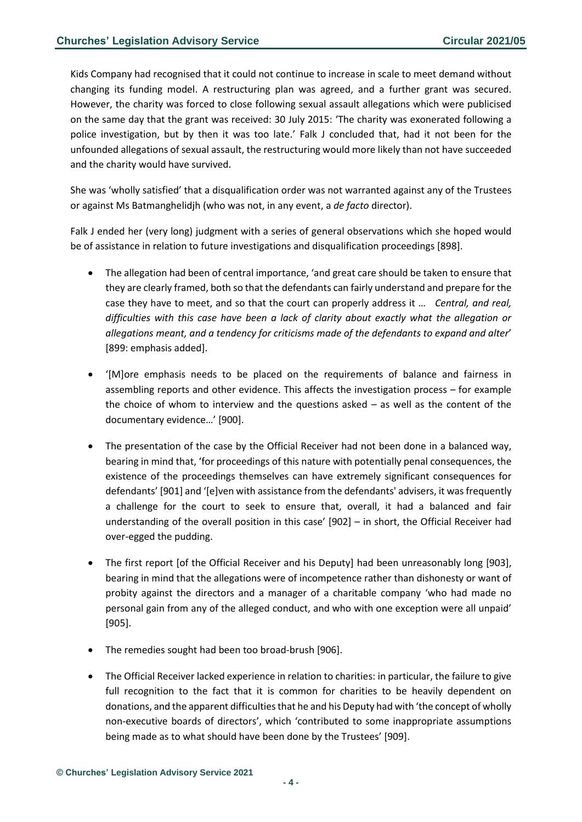Kids Company had recognised that it could not continue to increase in scale to meet demand without changing its funding model. A restructuring plan was agreed, and a further grant was secured. However, the charity was forced to close following sexual assault allegations which were publicised on the same day that the grant was received: 30 July 2015: 'The charity was exonerated following a police investigation, but by then it was too late.' Falk J concluded that, had it not been for the unfounded allegations of sexual assault, the restructuring would more likely than not have succeeded and the charity would have survived.

She was 'wholly satisfied' that a disqualification order was not warranted against any of the Trustees or against Ms Batmanghelidjh (who was not, in any event, a *de facto* director).

Falk J ended her (very long) judgment with a series of general observations which she hoped would be of assistance in relation to future investigations and disqualification proceedings [898].

- The allegation had been of central importance, 'and great care should be taken to ensure that they are clearly framed, both so that the defendants can fairly understand and prepare for the case they have to meet, and so that the court can properly address it … *Central, and real, difficulties with this case have been a lack of clarity about exactly what the allegation or allegations meant, and a tendency for criticisms made of the defendants to expand and alter*' [899: emphasis added].
- '[M]ore emphasis needs to be placed on the requirements of balance and fairness in assembling reports and other evidence. This affects the investigation process – for example the choice of whom to interview and the questions asked  $-$  as well as the content of the documentary evidence…' [900].
- The presentation of the case by the Official Receiver had not been done in a balanced way, bearing in mind that, 'for proceedings of this nature with potentially penal consequences, the existence of the proceedings themselves can have extremely significant consequences for defendants' [901] and '[e]ven with assistance from the defendants' advisers, it was frequently a challenge for the court to seek to ensure that, overall, it had a balanced and fair understanding of the overall position in this case' [902] – in short, the Official Receiver had over-egged the pudding.
- The first report [of the Official Receiver and his Deputy] had been unreasonably long [903], bearing in mind that the allegations were of incompetence rather than dishonesty or want of probity against the directors and a manager of a charitable company 'who had made no personal gain from any of the alleged conduct, and who with one exception were all unpaid' [905].
- The remedies sought had been too broad-brush [906].
- The Official Receiver lacked experience in relation to charities: in particular, the failure to give full recognition to the fact that it is common for charities to be heavily dependent on donations, and the apparent difficulties that he and his Deputy had with 'the concept of wholly non-executive boards of directors', which 'contributed to some inappropriate assumptions being made as to what should have been done by the Trustees' [909].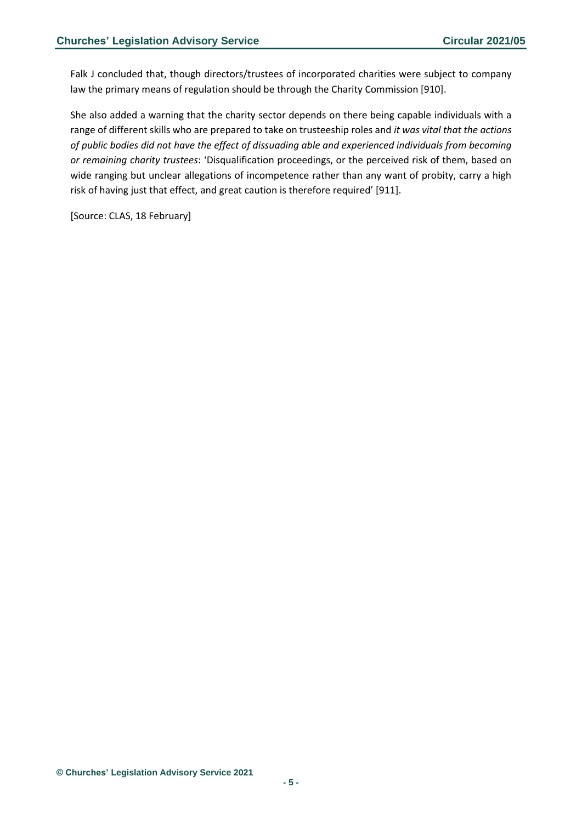Falk J concluded that, though directors/trustees of incorporated charities were subject to company law the primary means of regulation should be through the Charity Commission [910].

She also added a warning that the charity sector depends on there being capable individuals with a range of different skills who are prepared to take on trusteeship roles and *it was vital that the actions of public bodies did not have the effect of dissuading able and experienced individuals from becoming or remaining charity trustees*: 'Disqualification proceedings, or the perceived risk of them, based on wide ranging but unclear allegations of incompetence rather than any want of probity, carry a high risk of having just that effect, and great caution is therefore required' [911].

[Source: CLAS, 18 February]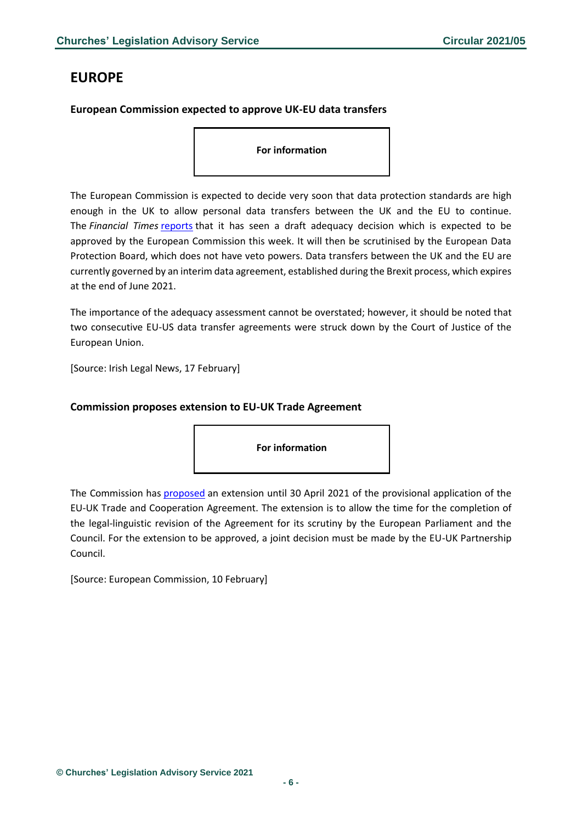## <span id="page-5-0"></span>**EUROPE**

#### <span id="page-5-1"></span>**European Commission expected to approve UK-EU data transfers**

**For information**

The European Commission is expected to decide very soon that data protection standards are high enough in the UK to allow personal data transfers between the UK and the EU to continue. The *Financial Times* [reports](https://www.ft.com/content/43ed5e0a-7b0a-40db-800f-6f3b9c58b9a8) that it has seen a draft adequacy decision which is expected to be approved by the European Commission this week. It will then be scrutinised by the European Data Protection Board, which does not have veto powers. Data transfers between the UK and the EU are currently governed by an interim data agreement, established during the Brexit process, which expires at the end of June 2021.

The importance of the adequacy assessment cannot be overstated; however, it should be noted that two consecutive EU-US data transfer agreements were struck down by the Court of Justice of the European Union.

[Source: Irish Legal News, 17 February]

#### <span id="page-5-2"></span>**Commission proposes extension to EU-UK Trade Agreement**

**For information**

The Commission has [proposed](https://ec.europa.eu/commission/presscorner/detail/en/mex_21_523) an extension until 30 April 2021 of the provisional application of the EU-UK Trade and Cooperation Agreement. The extension is to allow the time for the completion of the legal-linguistic revision of the Agreement for its scrutiny by the European Parliament and the Council. For the extension to be approved, a joint decision must be made by the EU-UK Partnership Council.

[Source: European Commission, 10 February]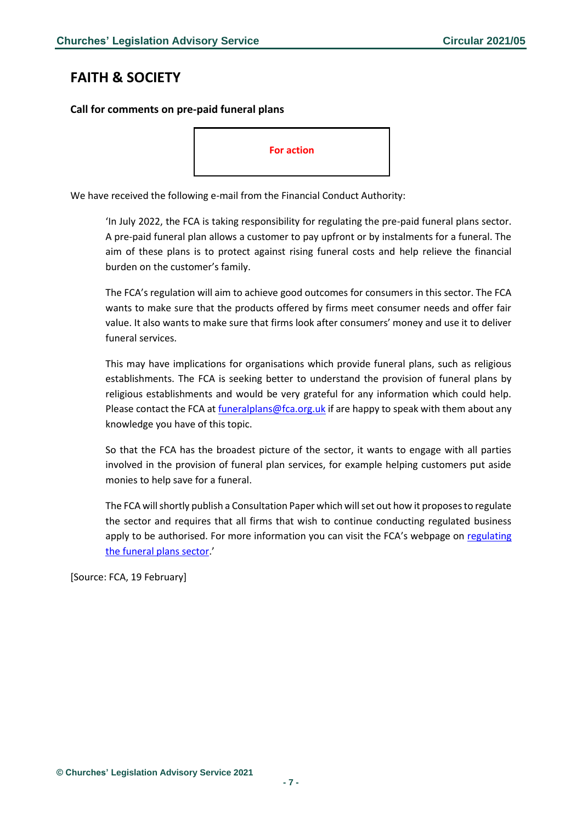## <span id="page-6-0"></span>**FAITH & SOCIETY**

<span id="page-6-1"></span>**Call for comments on pre-paid funeral plans**



We have received the following e-mail from the Financial Conduct Authority:

'In July 2022, the FCA is taking responsibility for regulating the pre-paid funeral plans sector. A pre-paid funeral plan allows a customer to pay upfront or by instalments for a funeral. The aim of these plans is to protect against rising funeral costs and help relieve the financial burden on the customer's family.

The FCA's regulation will aim to achieve good outcomes for consumers in this sector. The FCA wants to make sure that the products offered by firms meet consumer needs and offer fair value. It also wants to make sure that firms look after consumers' money and use it to deliver funeral services.

This may have implications for organisations which provide funeral plans, such as religious establishments. The FCA is seeking better to understand the provision of funeral plans by religious establishments and would be very grateful for any information which could help. Please contact the FCA at *funeralplans@fca.org.uk* if are happy to speak with them about any knowledge you have of this topic.

So that the FCA has the broadest picture of the sector, it wants to engage with all parties involved in the provision of funeral plan services, for example helping customers put aside monies to help save for a funeral.

The FCA will shortly publish a Consultation Paper which will set out how it proposes to regulate the sector and requires that all firms that wish to continue conducting regulated business apply to be authorised. For more information you can visit the FCA's webpage on [regulating](https://www.fca.org.uk/firms/regulating-funeral-plans)  [the funeral plans sector.](https://www.fca.org.uk/firms/regulating-funeral-plans)'

[Source: FCA, 19 February]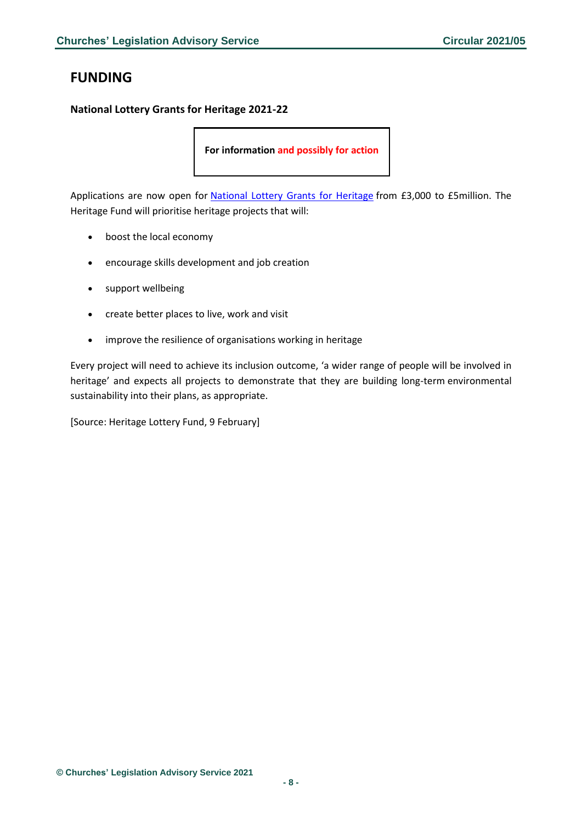## <span id="page-7-0"></span>**FUNDING**

#### <span id="page-7-1"></span>**National Lottery Grants for Heritage 2021-22**

**For information and possibly for action**

Applications are now open for [National Lottery Grants for Heritage](https://www.heritagefund.org.uk/funding/national-lottery-grants-heritage-2021-22) from £3,000 to £5million. The Heritage Fund will prioritise heritage projects that will:

- boost the local economy
- encourage skills development and job creation
- support wellbeing
- create better places to live, work and visit
- improve the resilience of organisations working in heritage

Every project will need to achieve its inclusion outcome, 'a wider range of people will be involved in heritage' and expects all projects to demonstrate that they are building long-term environmental sustainability into their plans, as appropriate.

[Source: Heritage Lottery Fund, 9 February]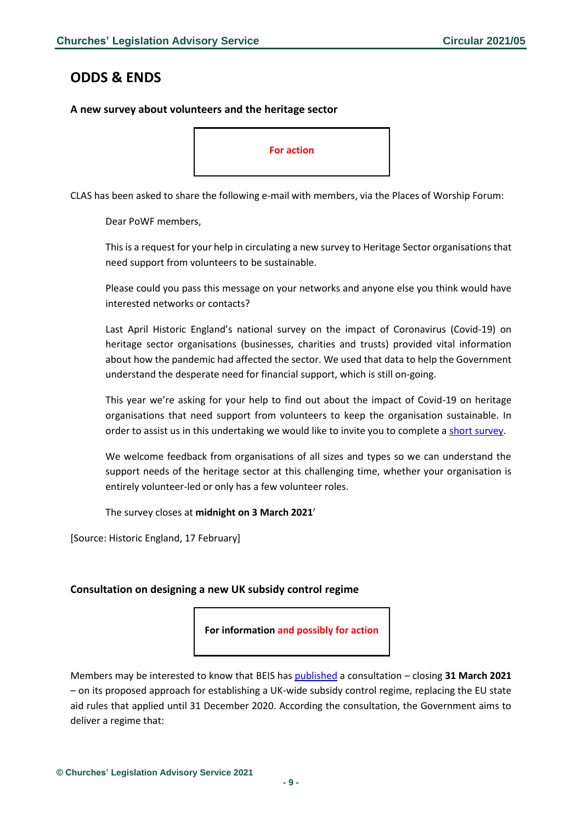<span id="page-8-1"></span>**A new survey about volunteers and the heritage sector**

## <span id="page-8-0"></span>**ODDS & ENDS**

# **For action**

CLAS has been asked to share the following e-mail with members, via the Places of Worship Forum:

Dear PoWF members,

This is a request for your help in circulating a new survey to Heritage Sector organisations that need support from volunteers to be sustainable.

Please could you pass this message on your networks and anyone else you think would have interested networks or contacts?

Last April Historic England's national survey on the impact of Coronavirus (Covid-19) on heritage sector organisations (businesses, charities and trusts) provided vital information about how the pandemic had affected the sector. We used that data to help the Government understand the desperate need for financial support, which is still on-going.

This year we're asking for your help to find out about the impact of Covid-19 on heritage organisations that need support from volunteers to keep the organisation sustainable. In order to assist us in this undertaking we would like to invite you to complete [a short survey.](https://www.smartsurvey.co.uk/s/volunteersurvey21/)

We welcome feedback from organisations of all sizes and types so we can understand the support needs of the heritage sector at this challenging time, whether your organisation is entirely volunteer-led or only has a few volunteer roles.

The survey closes at **midnight on 3 March 2021**'

[Source: Historic England, 17 February]

#### <span id="page-8-2"></span>**Consultation on designing a new UK subsidy control regime**

**For information and possibly for action**

Members may be interested to know that BEIS has [published](https://www.gov.uk/government/consultations/subsidy-control-designing-a-new-approach-for-the-uk) a consultation – closing **31 March 2021** – on its proposed approach for establishing a UK-wide subsidy control regime, replacing the EU state aid rules that applied until 31 December 2020. According the consultation, the Government aims to deliver a regime that: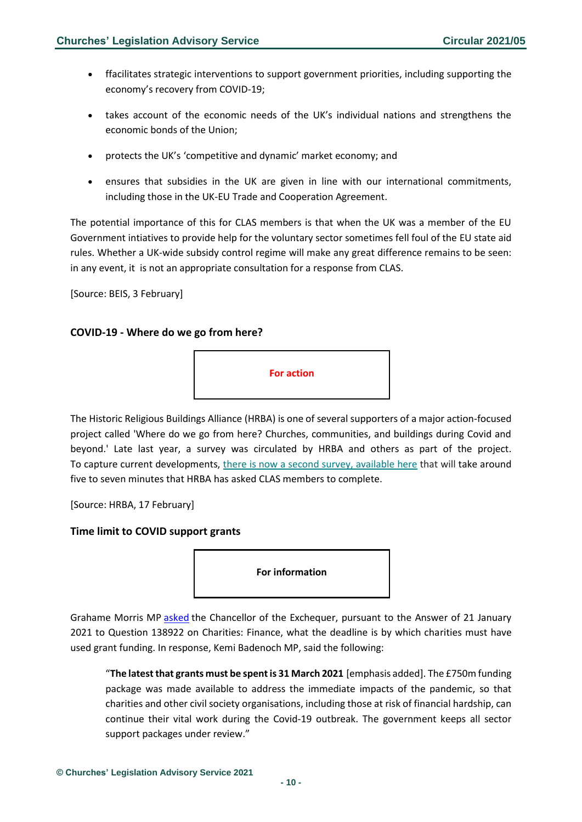- ffacilitates strategic interventions to support government priorities, including supporting the economy's recovery from COVID-19;
- takes account of the economic needs of the UK's individual nations and strengthens the economic bonds of the Union;
- protects the UK's 'competitive and dynamic' market economy; and
- ensures that subsidies in the UK are given in line with our international commitments, including those in the UK-EU Trade and Cooperation Agreement.

The potential importance of this for CLAS members is that when the UK was a member of the EU Government intiatives to provide help for the voluntary sector sometimes fell foul of the EU state aid rules. Whether a UK-wide subsidy control regime will make any great difference remains to be seen: in any event, it is not an appropriate consultation for a response from CLAS.

[Source: BEIS, 3 February]

#### <span id="page-9-0"></span>**COVID-19 - Where do we go from here?**



The Historic Religious Buildings Alliance (HRBA) is one of several supporters of a major action-focused project called 'Where do we go from here? Churches, communities, and buildings during Covid and beyond.' Late last year, a survey was circulated by HRBA and others as part of the project. To capture current developments, [there is now a second survey, available here](https://hrballiance.us5.list-manage.com/track/click?u=9215d2d845d06a9c2417f5c88&id=fbd59585e4&e=2a518bf60b) that will take around five to seven minutes that HRBA has asked CLAS members to complete.

[Source: HRBA, 17 February]

#### <span id="page-9-1"></span>**Time limit to COVID support grants**



Grahame Morris MP [asked](https://questions-statements.parliament.uk/written-questions/detail/2021-01-25/142896) the Chancellor of the Exchequer, pursuant to the Answer of 21 January 2021 to Question 138922 on Charities: Finance, what the deadline is by which charities must have used grant funding. In response, Kemi Badenoch MP, said the following:

"**The latest that grants must be spent is 31 March 2021** [emphasis added]. The £750m funding package was made available to address the immediate impacts of the pandemic, so that charities and other civil society organisations, including those at risk of financial hardship, can continue their vital work during the Covid-19 outbreak. The government keeps all sector support packages under review."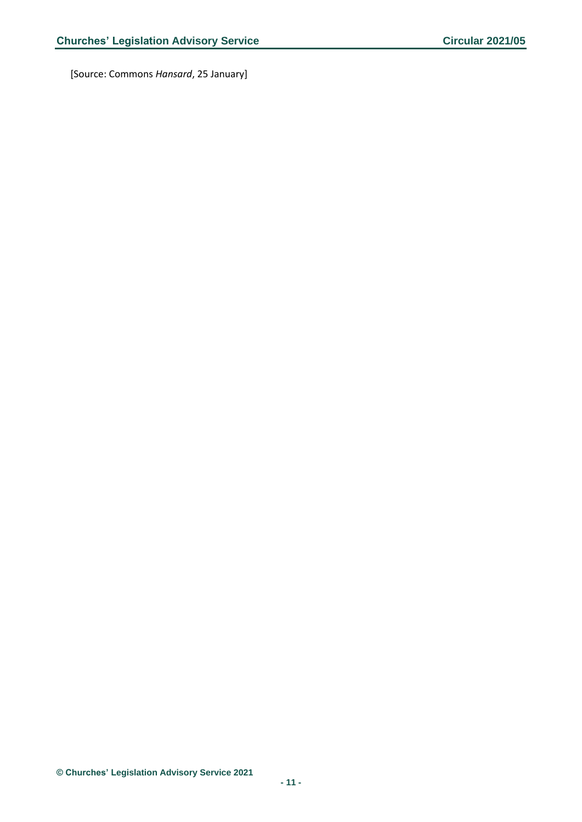[Source: Commons *Hansard*, 25 January]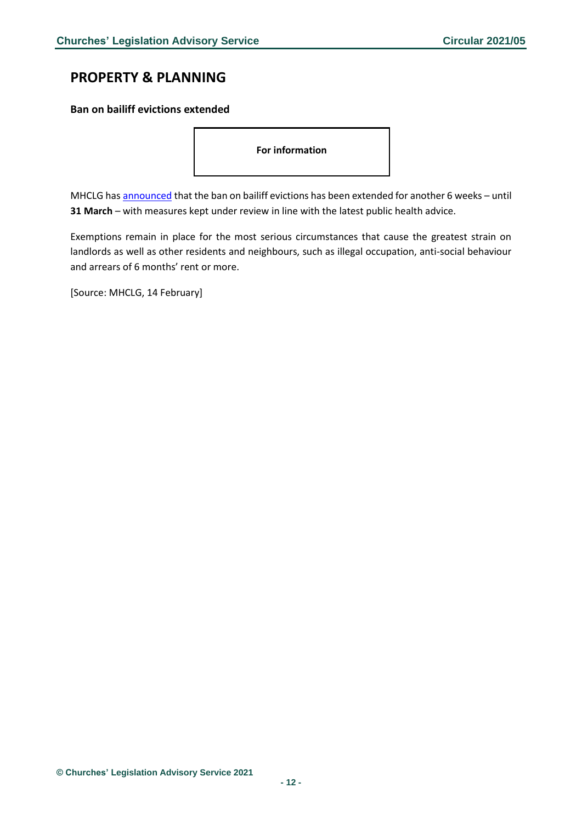## <span id="page-11-0"></span>**PROPERTY & PLANNING**

#### <span id="page-11-1"></span>**Ban on bailiff evictions extended**

**For information**

MHCLG has [announced](https://www.gov.uk/government/news/housing-secretary-extends-support-for-renters-during-pandemic?utm_medium=email&utm_campaign=govuk-notifications&utm_source=1adbdabf-b9e5-4b24-bd90-92879078eb35&utm_content=daily) that the ban on bailiff evictions has been extended for another 6 weeks - until **31 March** – with measures kept under review in line with the latest public health advice.

Exemptions remain in place for the most serious circumstances that cause the greatest strain on landlords as well as other residents and neighbours, such as illegal occupation, anti-social behaviour and arrears of 6 months' rent or more.

[Source: MHCLG, 14 February]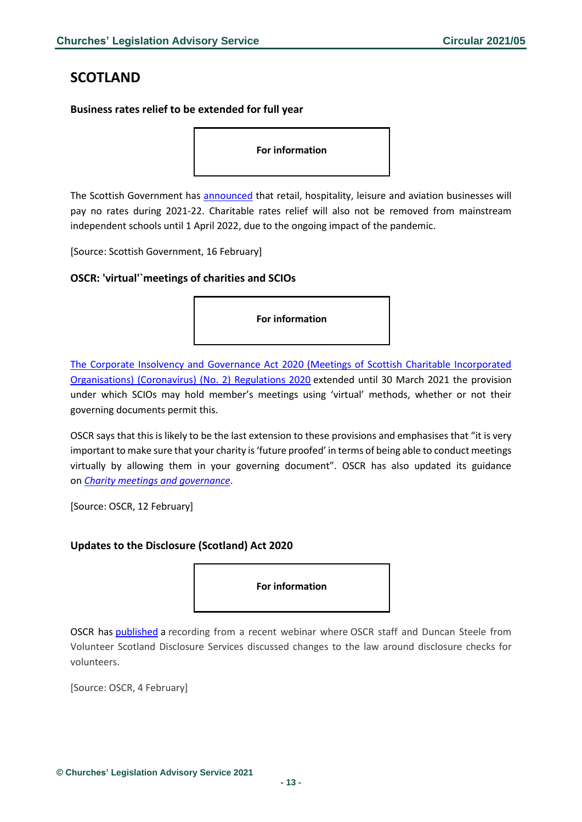## <span id="page-12-0"></span>**SCOTLAND**

#### <span id="page-12-1"></span>**Business rates relief to be extended for full year**

**For information**

The Scottish Government has [announced](https://www.gov.scot/news/non-domestic-rates-relief-extended/) that retail, hospitality, leisure and aviation businesses will pay no rates during 2021-22. Charitable rates relief will also not be removed from mainstream independent schools until 1 April 2022, due to the ongoing impact of the pandemic.

[Source: Scottish Government, 16 February]

#### <span id="page-12-2"></span>**OSCR: 'virtual'`meetings of charities and SCIOs**

**For information**

[The Corporate Insolvency and Governance Act 2020 \(Meetings of Scottish Charitable Incorporated](https://www.legislation.gov.uk/ssi/2020/421/regulation/2/made)  [Organisations\) \(Coronavirus\) \(No. 2\) Regulations 2020](https://www.legislation.gov.uk/ssi/2020/421/regulation/2/made) extended until 30 March 2021 the provision under which SCIOs may hold member's meetings using 'virtual' methods, whether or not their governing documents permit this.

OSCR says that this is likely to be the last extension to these provisions and emphasises that "it is very important to make sure that your charity is 'future proofed' in terms of being able to conduct meetings virtually by allowing them in your governing document". OSCR has also updated its guidance on *[Charity meetings and governance](https://www.oscr.org.uk/guidance-and-forms/covid-19-guidance-for-charities/3-charity-meetings-and-governance/)*.

[Source: OSCR, 12 February]

#### <span id="page-12-3"></span>**Updates to the Disclosure (Scotland) Act 2020**

**For information**

OSCR has [published](https://www.oscr.org.uk/news/video-updates-to-the-disclosure-scotland-act-2020/) a recording from a recent webinar where OSCR staff and Duncan Steele from Volunteer Scotland Disclosure Services discussed changes to the law around disclosure checks for volunteers.

[Source: OSCR, 4 February]